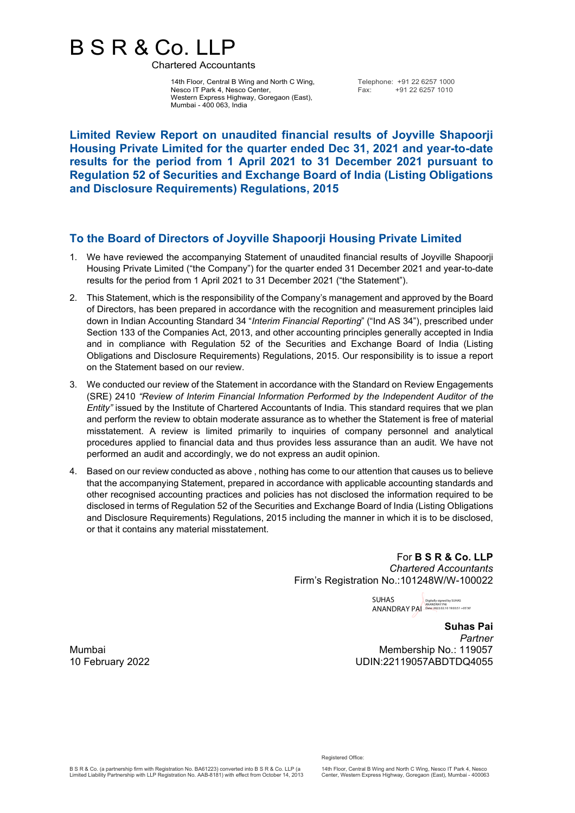## B S R & Co. LLP

Chartered Accountants

14th Floor, Central B Wing and North C Wing, Nesco IT Park 4, Nesco Center, Western Express Highway, Goregaon (East), Mumbai - 400 063, India

Telephone: +91 22 6257 1000<br>Eax: +91 22 6257 1010 Fax: +91 22 6257 1010

**Limited Review Report on unaudited financial results of Joyville Shapoorji Housing Private Limited for the quarter ended Dec 31, 2021 and year-to-date results for the period from 1 April 2021 to 31 December 2021 pursuant to Regulation 52 of Securities and Exchange Board of India (Listing Obligations and Disclosure Requirements) Regulations, 2015**

## **To the Board of Directors of Joyville Shapoorji Housing Private Limited**

- 1. We have reviewed the accompanying Statement of unaudited financial results of Joyville Shapoorji Housing Private Limited ("the Company") for the quarter ended 31 December 2021 and year-to-date results for the period from 1 April 2021 to 31 December 2021 ("the Statement").
- 2. This Statement, which is the responsibility of the Company's management and approved by the Board of Directors, has been prepared in accordance with the recognition and measurement principles laid down in Indian Accounting Standard 34 "*Interim Financial Reporting*" ("Ind AS 34"), prescribed under Section 133 of the Companies Act, 2013, and other accounting principles generally accepted in India and in compliance with Regulation 52 of the Securities and Exchange Board of India (Listing Obligations and Disclosure Requirements) Regulations, 2015. Our responsibility is to issue a report on the Statement based on our review.
- 3. We conducted our review of the Statement in accordance with the Standard on Review Engagements (SRE) 2410 *"Review of Interim Financial Information Performed by the Independent Auditor of the Entity"* issued by the Institute of Chartered Accountants of India. This standard requires that we plan and perform the review to obtain moderate assurance as to whether the Statement is free of material misstatement. A review is limited primarily to inquiries of company personnel and analytical procedures applied to financial data and thus provides less assurance than an audit. We have not performed an audit and accordingly, we do not express an audit opinion.
- 4. Based on our review conducted as above , nothing has come to our attention that causes us to believe that the accompanying Statement, prepared in accordance with applicable accounting standards and other recognised accounting practices and policies has not disclosed the information required to be disclosed in terms of Regulation 52 of the Securities and Exchange Board of India (Listing Obligations and Disclosure Requirements) Regulations, 2015 including the manner in which it is to be disclosed, or that it contains any material misstatement.

For **B S R & Co. LLP** *Chartered Accountants* Firm's Registration No.:101248W/W-100022

SUHAS SUHAS<br>ANANDRAY PA **ANANDRAY PA** ANANDRAY PAI

**Suhas Pai** *Partner* Mumbai **Mumbai Membership No.: 119057** Membership No.: 119057 10 February 2022 UDIN:22119057ABDTDQ4055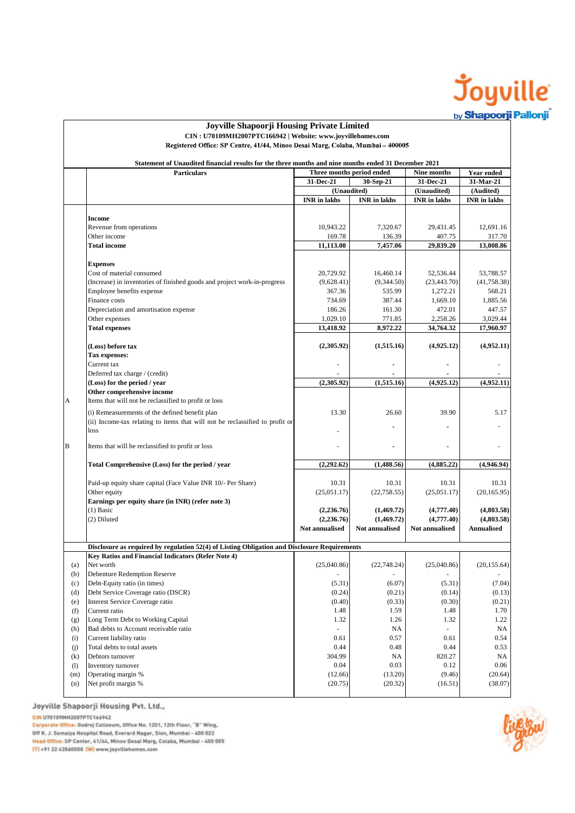

|            | <b>Particulars</b>                                                                                                                                        | Statement of Unaudited financial results for the three months and nine months ended 31 December 2021<br>Three months period ended |                     | Nine months              |                         |
|------------|-----------------------------------------------------------------------------------------------------------------------------------------------------------|-----------------------------------------------------------------------------------------------------------------------------------|---------------------|--------------------------|-------------------------|
|            |                                                                                                                                                           | 31-Dec-21                                                                                                                         |                     |                          | Year ended<br>31-Mar-21 |
|            |                                                                                                                                                           | (Unaudited)                                                                                                                       | 30-Sep-21           | 31-Dec-21<br>(Unaudited) | (Audited)               |
|            |                                                                                                                                                           | <b>INR</b> in lakhs                                                                                                               | <b>INR</b> in lakhs | <b>INR</b> in lakhs      | <b>INR</b> in lakhs     |
|            |                                                                                                                                                           |                                                                                                                                   |                     |                          |                         |
|            | Income                                                                                                                                                    |                                                                                                                                   |                     |                          |                         |
|            | Revenue from operations                                                                                                                                   | 10,943.22                                                                                                                         | 7.320.67            | 29,431.45                | 12,691.16               |
|            | Other income                                                                                                                                              | 169.78                                                                                                                            | 136.39              | 407.75                   | 317.70                  |
|            | <b>Total income</b>                                                                                                                                       | 11,113.00                                                                                                                         | 7,457.06            | 29,839.20                | 13,008.86               |
|            | <b>Expenses</b>                                                                                                                                           |                                                                                                                                   |                     |                          |                         |
|            | Cost of material consumed                                                                                                                                 | 20,729.92                                                                                                                         | 16,460.14           | 52,536.44                | 53,788.57               |
|            | (Increase) in inventories of finished goods and project work-in-progress                                                                                  | (9,628.41)                                                                                                                        | (9,344.50)          | (23, 443.70)             | (41, 758.38)            |
|            | Employee benefits expense                                                                                                                                 | 367.36                                                                                                                            | 535.99              | 1,272.21                 | 568.21                  |
|            | Finance costs                                                                                                                                             | 734.69                                                                                                                            | 387.44              | 1,669.10                 | 1,885.56                |
|            | Depreciation and amortisation expense<br>Other expenses                                                                                                   | 186.26<br>1,029.10                                                                                                                | 161.30<br>771.85    | 472.01<br>2,258.26       | 447.57<br>3,029.44      |
|            | <b>Total expenses</b>                                                                                                                                     | 13,418.92                                                                                                                         | 8,972.22            | 34,764.32                | 17,960.97               |
|            |                                                                                                                                                           |                                                                                                                                   |                     |                          |                         |
|            | (Loss) before tax                                                                                                                                         | (2,305.92)                                                                                                                        | (1,515.16)          | (4,925.12)               | (4,952.11)              |
|            | Tax expenses:                                                                                                                                             |                                                                                                                                   |                     |                          |                         |
|            | Current tax                                                                                                                                               |                                                                                                                                   |                     | $\overline{a}$           |                         |
|            | Deferred tax charge / (credit)<br>(Loss) for the period / year                                                                                            | (2.305.92)                                                                                                                        | (1,515.16)          | (4,925.12)               | (4,952.11)              |
|            | Other comprehensive income                                                                                                                                |                                                                                                                                   |                     |                          |                         |
| А          | Items that will not be reclassified to profit or loss                                                                                                     |                                                                                                                                   |                     |                          |                         |
|            | (i) Remeasurements of the defined benefit plan                                                                                                            | 13.30                                                                                                                             | 26.60               | 39.90                    | 5.17                    |
|            | (ii) Income-tax relating to items that will not be reclassified to profit or                                                                              |                                                                                                                                   |                     |                          |                         |
|            | loss                                                                                                                                                      |                                                                                                                                   |                     |                          |                         |
| B          | Items that will be reclassified to profit or loss                                                                                                         | ä,                                                                                                                                |                     | $\overline{a}$           |                         |
|            | Total Comprehensive (Loss) for the period / year                                                                                                          | (2,292.62)                                                                                                                        | (1,488.56)          | (4,885.22)               | (4,946.94)              |
|            | Paid-up equity share capital (Face Value INR 10/- Per Share)                                                                                              | 10.31                                                                                                                             | 10.31               | 10.31                    | 10.31                   |
|            | Other equity                                                                                                                                              | (25,051.17)                                                                                                                       | (22, 758.55)        | (25,051.17)              | (20, 165.95)            |
|            | Earnings per equity share (in INR) (refer note 3)                                                                                                         |                                                                                                                                   |                     |                          |                         |
|            | $(1)$ Basic                                                                                                                                               | (2,236.76)                                                                                                                        | (1,469.72)          | (4,777.40)               | (4,803.58)              |
|            | (2) Diluted                                                                                                                                               | (2,236.76)                                                                                                                        | (1,469.72)          | (4,777.40)               | (4,803.58)              |
|            |                                                                                                                                                           | <b>Not annualised</b>                                                                                                             | Not annualised      | <b>Not annualised</b>    | <b>Annualised</b>       |
|            |                                                                                                                                                           |                                                                                                                                   |                     |                          |                         |
|            |                                                                                                                                                           |                                                                                                                                   |                     |                          |                         |
|            | Disclosure as required by regulation 52(4) of Listing Obligation and Disclosure Requirements<br><b>Key Ratios and Financial Indicators (Refer Note 4)</b> |                                                                                                                                   |                     |                          |                         |
| (a)        | Net worth                                                                                                                                                 | (25,040.86)                                                                                                                       | (22, 748.24)        | (25,040.86)              | (20, 155.64)            |
| (b)        | <b>Debenture Redemption Reserve</b>                                                                                                                       |                                                                                                                                   |                     |                          |                         |
| (c)        | Debt-Equity ratio (in times)                                                                                                                              | (5.31)                                                                                                                            | (6.07)              | (5.31)                   | (7.04)                  |
| (d)        | Debt Service Coverage ratio (DSCR)                                                                                                                        | (0.24)                                                                                                                            | (0.21)              | (0.14)                   | (0.13)                  |
| (e)        | Interest Service Coverage ratio                                                                                                                           | (0.40)                                                                                                                            | (0.33)              | (0.30)                   | (0.21)                  |
| (f)        | Current ratio                                                                                                                                             | 1.48                                                                                                                              | 1.59                | 1.48                     | 1.70                    |
| (g)<br>(h) | Long Term Debt to Working Capital<br>Bad debts to Account receivable ratio                                                                                | 1.32                                                                                                                              | 1.26<br><b>NA</b>   | 1.32                     | 1.22<br>NA              |
| (i)        | Current liability ratio                                                                                                                                   | 0.61                                                                                                                              | 0.57                | 0.61                     | 0.54                    |
| (j)        | Total debts to total assets                                                                                                                               | 0.44                                                                                                                              | 0.48                | 0.44                     | 0.53                    |
| (k)        | Debtors turnover                                                                                                                                          | 304.99                                                                                                                            | <b>NA</b>           | 820.27                   | NA                      |
| (1)        | Inventory turnover                                                                                                                                        | 0.04                                                                                                                              | 0.03                | 0.12                     | 0.06                    |
| (m)        | Operating margin %                                                                                                                                        | (12.66)                                                                                                                           | (13.20)             | (9.46)                   | (20.64)                 |
| (n)        | Net profit margin %                                                                                                                                       | (20.75)                                                                                                                           | (20.32)             | (16.51)                  | (38.07)                 |

Joyville Shapoorji Housing Pvt. Ltd.,

CIN U70109MH2007PTC166942

сим Отлитики (от Роспереда)<br>Corporate Office: Godrej Coliseum, Office No. 1201, 12th Floor, "B" Wing,<br>Off K. J. Somalya Hospital Road, Everard Nagar, Sion, Mumbai - 400 022<br>Head Office: SP Center, 41/44, Minoo Desai Marg